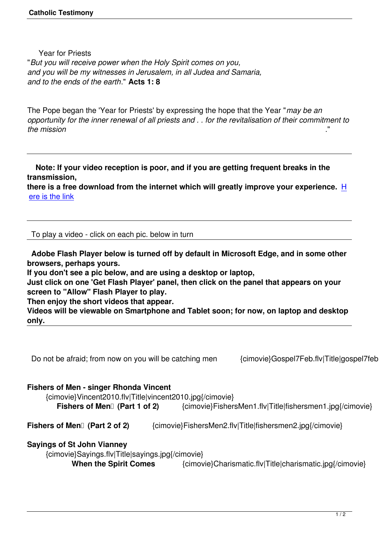Year for Priests "*But you will receive power when the Holy Spirit comes on you, and you will be my witnesses in Jerusalem, in all Judea and Samaria, and to the ends of the earth*." **Acts 1: 8**

The Pope began the 'Year for Priests' by expressing the hope that the Year "*may be an opportunity for the inner renewal of all priests and . . for the revitalisation of their commitment to the mission* ."

 **Note: If your video reception is poor, and if you are getting frequent breaks in the transmission, there is a free download from the internet which will greatly improve your experience.** H

ere is the link

 [To play a vid](http://www.videoaccelerator.com/download/)eo - click on each pic. below in turn

 **Adobe Flash Player below is turned off by default in Microsoft Edge, and in some other browsers, perhaps yours.** 

**If you don't see a pic below, and are using a desktop or laptop,**

**Just click on one 'Get Flash Player' panel, then click on the panel that appears on your screen to "Allow" Flash Player to play.**

**Then enjoy the short videos that appear.** 

**Videos will be viewable on Smartphone and Tablet soon; for now, on laptop and desktop only.**

Do not be afraid; from now on you will be catching men {cimovie}Gospel7Feb.flv|Title|gospel7feb.jpg}{

## **Fishers of Men - singer Rhonda Vincent**

{cimovie}Vincent2010.flv|Title|vincent2010.jpg{/cimovie}

**Fishers of Men<sup>
[</sup>]** (Part 1 of 2) {cimovie}FishersMen1.flv|Title|fishersmen1.jpg{/cimovie}

**Fishers of Men<sup>[]</sup> (Part 2 of 2)** {cimovie}FishersMen2.flv|Title|fishersmen2.jpg{/cimovie}

## **Sayings of St John Vianney**

{cimovie}Sayings.flv|Title|sayings.jpg{/cimovie}

**When the Spirit Comes** {cimovie}Charismatic.flv|Title|charismatic.jpg{/cimovie}